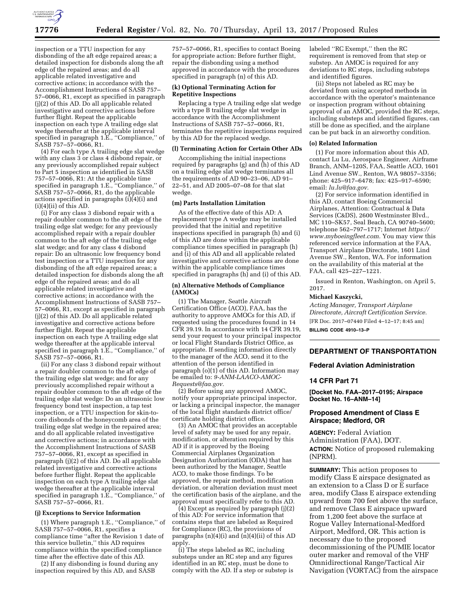

inspection or a TTU inspection for any disbonding of the aft edge repaired areas; a detailed inspection for disbonds along the aft edge of the repaired areas; and do all applicable related investigative and corrective actions; in accordance with the Accomplishment Instructions of SASB 757– 57–0066, R1, except as specified in paragraph (j)(2) of this AD. Do all applicable related investigative and corrective actions before further flight. Repeat the applicable inspection on each type A trailing edge slat wedge thereafter at the applicable interval specified in paragraph 1.E., ''Compliance,'' of SASB 757–57–0066, R1.

(4) For each type A trailing edge slat wedge with any class 3 or class 4 disbond repair, or any previously accomplished repair subject to Part 5 inspection as identified in SASB 757–57–0066, R1: At the applicable time specified in paragraph 1.E., ''Compliance,'' of  $S$ ASB 757–57–0066, R1, do the applicable actions specified in paragraphs  $(i)(4)(i)$  and  $(i)(4)(ii)$  of this AD.

(i) For any class 3 disbond repair with a repair doubler common to the aft edge of the trailing edge slat wedge; for any previously accomplished repair with a repair doubler common to the aft edge of the trailing edge slat wedge; and for any class 4 disbond repair: Do an ultrasonic low frequency bond test inspection or a TTU inspection for any disbonding of the aft edge repaired areas; a detailed inspection for disbonds along the aft edge of the repaired areas; and do all applicable related investigative and corrective actions; in accordance with the Accomplishment Instructions of SASB 757– 57–0066, R1, except as specified in paragraph (j)(2) of this AD. Do all applicable related investigative and corrective actions before further flight. Repeat the applicable inspection on each type A trailing edge slat wedge thereafter at the applicable interval specified in paragraph 1.E., ''Compliance,'' of SASB 757–57–0066, R1.

(ii) For any class 3 disbond repair without a repair doubler common to the aft edge of the trailing edge slat wedge; and for any previously accomplished repair without a repair doubler common to the aft edge of the trailing edge slat wedge: Do an ultrasonic low frequency bond test inspection, a tap test inspection, or a TTU inspection for skin-tocore disbonds of the honeycomb area of the trailing edge slat wedge in the repaired area; and do all applicable related investigative and corrective actions; in accordance with the Accomplishment Instructions of SASB 757–57–0066, R1, except as specified in paragraph (j)(2) of this AD. Do all applicable related investigative and corrective actions before further flight. Repeat the applicable inspection on each type A trailing edge slat wedge thereafter at the applicable interval specified in paragraph 1.E., ''Compliance,'' of SASB 757–57–0066, R1.

#### **(j) Exceptions to Service Information**

(1) Where paragraph 1.E., ''Compliance,'' of SASB 757–57–0066, R1, specifies a compliance time ''after the Revision 1 date of this service bulletin,'' this AD requires compliance within the specified compliance time after the effective date of this AD.

(2) If any disbonding is found during any inspection required by this AD, and SASB

757–57–0066, R1, specifies to contact Boeing for appropriate action: Before further flight, repair the disbonding using a method approved in accordance with the procedures specified in paragraph (n) of this AD.

#### **(k) Optional Terminating Action for Repetitive Inspections**

Replacing a type A trailing edge slat wedge with a type B trailing edge slat wedge in accordance with the Accomplishment Instructions of SASB 757–57–0066, R1, terminates the repetitive inspections required by this AD for the replaced wedge.

#### **(l) Terminating Action for Certain Other ADs**

Accomplishing the initial inspections required by paragraphs (g) and (h) of this AD on a trailing edge slat wedge terminates all the requirements of AD 90–23–06, AD 91– 22–51, and AD 2005–07–08 for that slat wedge.

### **(m) Parts Installation Limitation**

As of the effective date of this AD: A replacement type A wedge may be installed provided that the initial and repetitive inspections specified in paragraph (h) and (i) of this AD are done within the applicable compliance times specified in paragraph (h) and (i) of this AD and all applicable related investigative and corrective actions are done within the applicable compliance times specified in paragraphs (h) and (i) of this AD.

## **(n) Alternative Methods of Compliance (AMOCs)**

(1) The Manager, Seattle Aircraft Certification Office (ACO), FAA, has the authority to approve AMOCs for this AD, if requested using the procedures found in 14 CFR 39.19. In accordance with 14 CFR 39.19, send your request to your principal inspector or local Flight Standards District Office, as appropriate. If sending information directly to the manager of the ACO, send it to the attention of the person identified in paragraph  $(o)(1)$  of this AD. Information may be emailed to: *[9-ANM-LAACO-AMOC-](mailto:9-ANM-LAACO-AMOC-Requests@faa.gov)[Requests@faa.gov.](mailto:9-ANM-LAACO-AMOC-Requests@faa.gov)* 

(2) Before using any approved AMOC, notify your appropriate principal inspector, or lacking a principal inspector, the manager of the local flight standards district office/ certificate holding district office.

(3) An AMOC that provides an acceptable level of safety may be used for any repair, modification, or alteration required by this AD if it is approved by the Boeing Commercial Airplanes Organization Designation Authorization (ODA) that has been authorized by the Manager, Seattle ACO, to make those findings. To be approved, the repair method, modification deviation, or alteration deviation must meet the certification basis of the airplane, and the approval must specifically refer to this AD.

(4) Except as required by paragraph (j)(2) of this AD: For service information that contains steps that are labeled as Required for Compliance (RC), the provisions of paragraphs  $(n)(4)(i)$  and  $(n)(4)(ii)$  of this AD apply.

(i) The steps labeled as RC, including substeps under an RC step and any figures identified in an RC step, must be done to comply with the AD. If a step or substep is labeled ''RC Exempt,'' then the RC requirement is removed from that step or substep. An AMOC is required for any deviations to RC steps, including substeps and identified figures.

(ii) Steps not labeled as RC may be deviated from using accepted methods in accordance with the operator's maintenance or inspection program without obtaining approval of an AMOC, provided the RC steps, including substeps and identified figures, can still be done as specified, and the airplane can be put back in an airworthy condition.

#### **(o) Related Information**

(1) For more information about this AD, contact Lu Lu, Aerospace Engineer, Airframe Branch, ANM–120S, FAA, Seattle ACO, 1601 Lind Avenue SW., Renton, WA 98057–3356; phone: 425–917–6478; fax: 425–917–6590; email: *[lu.lu@faa.gov.](mailto:lu.lu@faa.gov)* 

(2) For service information identified in this AD, contact Boeing Commercial Airplanes, Attention: Contractual & Data Services (C&DS), 2600 Westminster Blvd., MC 110–SK57, Seal Beach, CA 90740–5600; telephone 562–797–1717; Internet *[https://](https://www.myboeingfleet.com) [www.myboeingfleet.com.](https://www.myboeingfleet.com)* You may view this referenced service information at the FAA, Transport Airplane Directorate, 1601 Lind Avenue SW., Renton, WA. For information on the availability of this material at the FAA, call 425–227–1221.

Issued in Renton, Washington, on April 5, 2017.

#### **Michael Kaszycki,**

*Acting Manager, Transport Airplane Directorate, Aircraft Certification Service.*  [FR Doc. 2017–07440 Filed 4–12–17; 8:45 am] **BILLING CODE 4910–13–P** 

# **DEPARTMENT OF TRANSPORTATION**

#### **Federal Aviation Administration**

### **14 CFR Part 71**

**[Docket No. FAA–2017–0195; Airspace Docket No. 16–ANM–14]** 

## **Proposed Amendment of Class E Airspace; Medford, OR**

**AGENCY:** Federal Aviation Administration (FAA), DOT. **ACTION:** Notice of proposed rulemaking (NPRM).

**SUMMARY:** This action proposes to modify Class E airspace designated as an extension to a Class D or E surface area, modify Class E airspace extending upward from 700 feet above the surface, and remove Class E airspace upward from 1,200 feet above the surface at Rogue Valley International-Medford Airport, Medford, OR. This action is necessary due to the proposed decommissioning of the PUMIE locator outer marker and removal of the VHF Omnidirectional Range/Tactical Air Navigation (VORTAC) from the airspace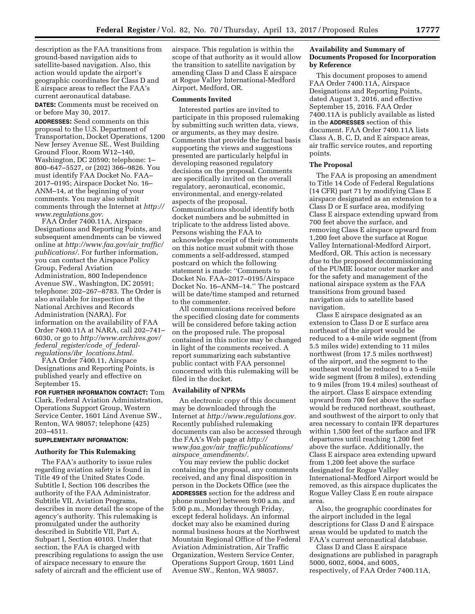description as the FAA transitions from ground-based navigation aids to satellite-based navigation. Also, this action would update the airport's geographic coordinates for Class D and E airspace areas to reflect the FAA's current aeronautical database.

**DATES:** Comments must be received on or before May 30, 2017.

**ADDRESSES:** Send comments on this proposal to the U.S. Department of Transportation, Docket Operations, 1200 New Jersey Avenue SE., West Building Ground Floor, Room W12–140, Washington, DC 20590; telephone: 1– 800–647–5527, or (202) 366–9826. You must identify FAA Docket No. FAA– 2017–0195; Airspace Docket No. 16– ANM–14, at the beginning of your comments. You may also submit comments through the Internet at *[http://](http://www.regulations.gov)  [www.regulations.gov.](http://www.regulations.gov)* 

FAA Order 7400.11A, Airspace Designations and Reporting Points, and subsequent amendments can be viewed online at *[http://www.faa.gov/air](http://www.faa.gov/air_traffic/publications/)*\_*traffic/ [publications/.](http://www.faa.gov/air_traffic/publications/)* For further information, you can contact the Airspace Policy Group, Federal Aviation Administration, 800 Independence Avenue SW., Washington, DC 20591; telephone: 202–267–8783. The Order is also available for inspection at the National Archives and Records Administration (NARA). For information on the availability of FAA Order 7400.11A at NARA, call 202–741– 6030, or go to *[http://www.archives.gov/](http://www.archives.gov/federal_register/code_of_federal-regulations/ibr_locations.html)  federal*\_*[register/code](http://www.archives.gov/federal_register/code_of_federal-regulations/ibr_locations.html)*\_*of*\_*federalregulations/ibr*\_*[locations.html.](http://www.archives.gov/federal_register/code_of_federal-regulations/ibr_locations.html)* 

FAA Order 7400.11, Airspace Designations and Reporting Points, is published yearly and effective on September 15.

**FOR FURTHER INFORMATION CONTACT:** Tom Clark, Federal Aviation Administration, Operations Support Group, Western Service Center, 1601 Lind Avenue SW., Renton, WA 98057; telephone (425) 203–4511.

#### **SUPPLEMENTARY INFORMATION:**

#### **Authority for This Rulemaking**

The FAA's authority to issue rules regarding aviation safety is found in Title 49 of the United States Code. Subtitle I, Section 106 describes the authority of the FAA Administrator. Subtitle VII, Aviation Programs, describes in more detail the scope of the agency's authority. This rulemaking is promulgated under the authority described in Subtitle VII, Part A, Subpart I, Section 40103. Under that section, the FAA is charged with prescribing regulations to assign the use of airspace necessary to ensure the safety of aircraft and the efficient use of

airspace. This regulation is within the scope of that authority as it would allow the transition to satellite navigation by amending Class D and Class E airspace at Rogue Valley International-Medford Airport, Medford, OR.

#### **Comments Invited**

Interested parties are invited to participate in this proposed rulemaking by submitting such written data, views, or arguments, as they may desire. Comments that provide the factual basis supporting the views and suggestions presented are particularly helpful in developing reasoned regulatory decisions on the proposal. Comments are specifically invited on the overall regulatory, aeronautical, economic, environmental, and energy-related aspects of the proposal. Communications should identify both docket numbers and be submitted in triplicate to the address listed above. Persons wishing the FAA to acknowledge receipt of their comments on this notice must submit with those comments a self-addressed, stamped postcard on which the following statement is made: ''Comments to Docket No. FAA–2017–0195/Airspace Docket No. 16–ANM–14.'' The postcard will be date/time stamped and returned to the commenter.

All communications received before the specified closing date for comments will be considered before taking action on the proposed rule. The proposal contained in this notice may be changed in light of the comments received. A report summarizing each substantive public contact with FAA personnel concerned with this rulemaking will be filed in the docket.

#### **Availability of NPRMs**

An electronic copy of this document may be downloaded through the Internet at *[http://www.regulations.gov.](http://www.regulations.gov)*  Recently published rulemaking documents can also be accessed through the FAA's Web page at *[http://](http://www.faa.gov/air_traffic/publications/airspace_amendments/) www.faa.gov/air*\_*[traffic/publications/](http://www.faa.gov/air_traffic/publications/airspace_amendments/) airspace*\_*[amendments/.](http://www.faa.gov/air_traffic/publications/airspace_amendments/)* 

You may review the public docket containing the proposal, any comments received, and any final disposition in person in the Dockets Office (see the **ADDRESSES** section for the address and phone number) between 9:00 a.m. and 5:00 p.m., Monday through Friday, except federal holidays. An informal docket may also be examined during normal business hours at the Northwest Mountain Regional Office of the Federal Aviation Administration, Air Traffic Organization, Western Service Center, Operations Support Group, 1601 Lind Avenue SW., Renton, WA 98057.

## **Availability and Summary of Documents Proposed for Incorporation by Reference**

This document proposes to amend FAA Order 7400.11A, Airspace Designations and Reporting Points, dated August 3, 2016, and effective September 15, 2016. FAA Order 7400.11A is publicly available as listed in the **ADDRESSES** section of this document. FAA Order 7400.11A lists Class A, B, C, D, and E airspace areas, air traffic service routes, and reporting points.

### **The Proposal**

The FAA is proposing an amendment to Title 14 Code of Federal Regulations (14 CFR) part 71 by modifying Class E airspace designated as an extension to a Class D or E surface area, modifying Class E airspace extending upward from 700 feet above the surface, and removing Class E airspace upward from 1,200 feet above the surface at Rogue Valley International-Medford Airport, Medford, OR. This action is necessary due to the proposed decommissioning of the PUMIE locator outer marker and for the safety and management of the national airspace system as the FAA transitions from ground based navigation aids to satellite based navigation.

Class E airspace designated as an extension to Class D or E surface area northeast of the airport would be reduced to a 4-mile wide segment (from 5.5 miles wide) extending to 11 miles northwest (from 17.5 miles northwest) of the airport, and the segment to the southeast would be reduced to a 5-mile wide segment (from 8 miles), extending to 9 miles (from 19.4 miles) southeast of the airport. Class E airspace extending upward from 700 feet above the surface would be reduced northeast, southeast, and southwest of the airport to only that area necessary to contain IFR departures within 1,500 feet of the surface and IFR departures until reaching 1,200 feet above the surface. Additionally, the Class E airspace area extending upward from 1,200 feet above the surface designated for Rogue Valley International-Medford Airport would be removed, as this airspace duplicates the Rogue Valley Class E en route airspace area.

Also, the geographic coordinates for the airport included in the legal descriptions for Class D and E airspace areas would be updated to match the FAA's current aeronautical database.

Class D and Class E airspace designations are published in paragraph 5000, 6002, 6004, and 6005, respectively, of FAA Order 7400.11A,